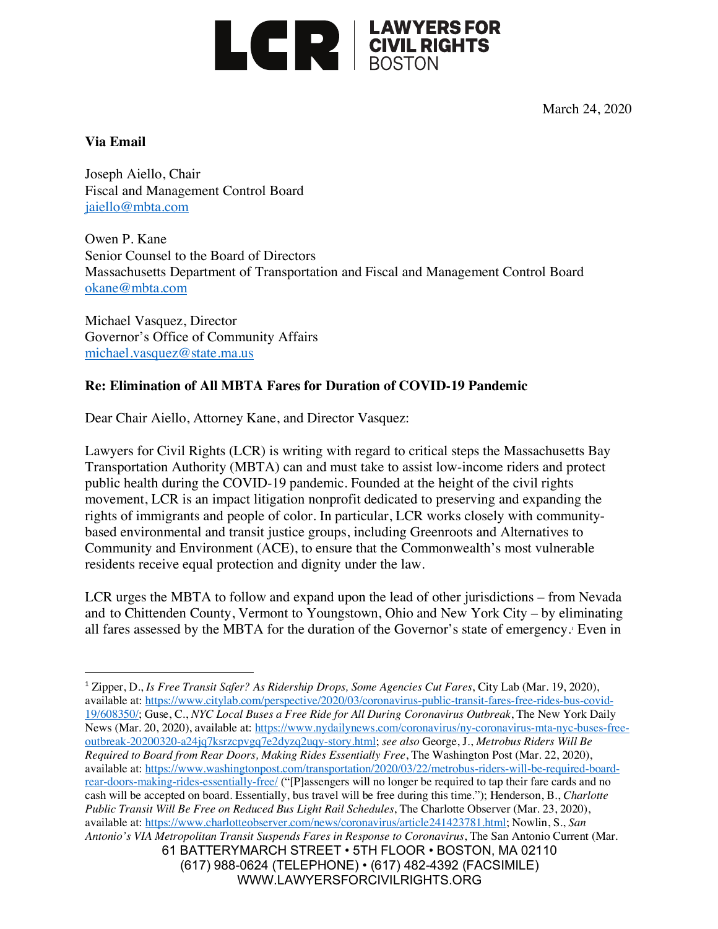

March 24, 2020

## **Via Email**

Joseph Aiello, Chair Fiscal and Management Control Board jaiello@mbta.com

Owen P. Kane Senior Counsel to the Board of Directors Massachusetts Department of Transportation and Fiscal and Management Control Board okane@mbta.com

Michael Vasquez, Director Governor's Office of Community Affairs michael.vasquez@state.ma.us

## **Re: Elimination of All MBTA Fares for Duration of COVID-19 Pandemic**

Dear Chair Aiello, Attorney Kane, and Director Vasquez:

Lawyers for Civil Rights (LCR) is writing with regard to critical steps the Massachusetts Bay Transportation Authority (MBTA) can and must take to assist low-income riders and protect public health during the COVID-19 pandemic. Founded at the height of the civil rights movement, LCR is an impact litigation nonprofit dedicated to preserving and expanding the rights of immigrants and people of color. In particular, LCR works closely with communitybased environmental and transit justice groups, including Greenroots and Alternatives to Community and Environment (ACE), to ensure that the Commonwealth's most vulnerable residents receive equal protection and dignity under the law.

LCR urges the MBTA to follow and expand upon the lead of other jurisdictions – from Nevada and to Chittenden County, Vermont to Youngstown, Ohio and New York City – by eliminating all fares assessed by the MBTA for the duration of the Governor's state of emergency.<sup>1</sup> Even in

WWW.LAWYERSFORCIVILRIGHTS.ORG

<sup>61</sup> BATTERYMARCH STREET • 5TH FLOOR • BOSTON, MA 02110 (617) 988-0624 (TELEPHONE) • (617) 482-4392 (FACSIMILE) <u>.</u> <sup>1</sup> Zipper, D., *Is Free Transit Safer? As Ridership Drops, Some Agencies Cut Fares*, City Lab (Mar. 19, 2020), available at: https://www.citylab.com/perspective/2020/03/coronavirus-public-transit-fares-free-rides-bus-covid-19/608350/; Guse, C., *NYC Local Buses a Free Ride for All During Coronavirus Outbreak*, The New York Daily News (Mar. 20, 2020), available at: https://www.nydailynews.com/coronavirus/ny-coronavirus-mta-nyc-buses-freeoutbreak-20200320-a24jq7ksrzcpvgq7e2dyzq2uqy-story.html; *see also* George, J., *Metrobus Riders Will Be Required to Board from Rear Doors, Making Rides Essentially Free*, The Washington Post (Mar. 22, 2020), available at: https://www.washingtonpost.com/transportation/2020/03/22/metrobus-riders-will-be-required-boardrear-doors-making-rides-essentially-free/ ("[P]assengers will no longer be required to tap their fare cards and no cash will be accepted on board. Essentially, bus travel will be free during this time."); Henderson, B., *Charlotte Public Transit Will Be Free on Reduced Bus Light Rail Schedules*, The Charlotte Observer (Mar. 23, 2020), available at: https://www.charlotteobserver.com/news/coronavirus/article241423781.html; Nowlin, S., *San Antonio's VIA Metropolitan Transit Suspends Fares in Response to Coronavirus*, The San Antonio Current (Mar.